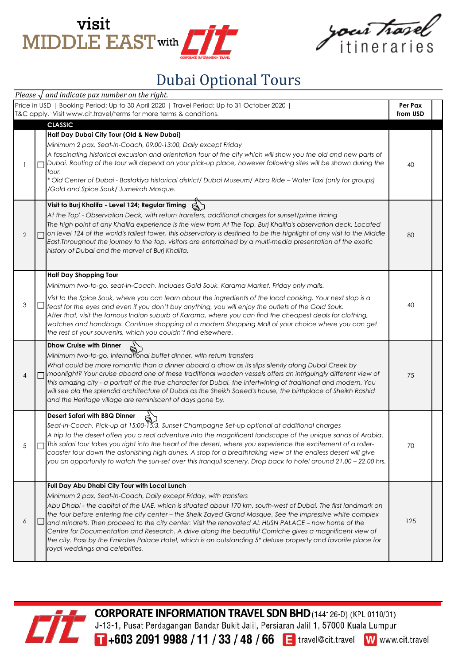



## Dubai Optional Tours

|                | Please $\sqrt{$ and indicate pax number on the right.                                                                                                                                                                                                                                                                                                                                                                                                                                                                                                                                                                                                                                                                    |                     |  |
|----------------|--------------------------------------------------------------------------------------------------------------------------------------------------------------------------------------------------------------------------------------------------------------------------------------------------------------------------------------------------------------------------------------------------------------------------------------------------------------------------------------------------------------------------------------------------------------------------------------------------------------------------------------------------------------------------------------------------------------------------|---------------------|--|
|                | Price in USD   Booking Period: Up to 30 April 2020   Travel Period: Up to 31 October 2020  <br>T&C apply. Visit www.cit.travel/terms for more terms & conditions.                                                                                                                                                                                                                                                                                                                                                                                                                                                                                                                                                        | Per Pax<br>from USD |  |
|                | <b>CLASSIC</b><br>Half Day Dubai City Tour (Old & New Dubai)<br>Minimum 2 pax, Seat-In-Coach, 09:00-13:00, Daily except Friday                                                                                                                                                                                                                                                                                                                                                                                                                                                                                                                                                                                           |                     |  |
|                | A fascinating historical excursion and orientation tour of the city which will show you the old and new parts of<br>Dubai. Routing of the tour will depend on your pick-up place, however following sites will be shown during the<br>tour.<br>* Old Center of Dubai - Bastakiya historical district/ Dubai Museum/ Abra Ride – Water Taxi (only for groups)<br>/Gold and Spice Souk/ Jumeirah Mosque.                                                                                                                                                                                                                                                                                                                   | 40                  |  |
| $\overline{2}$ | Visit to Burj Khalifa - Level 124; Regular Timing<br>At the Top' - Observation Deck, with return transfers, additional charges for sunset/prime timing<br>The high point of any Khalifa experience is the view from At The Top, Burj Khalifa's observation deck. Located<br>on level 124 of the world's tallest tower, this observatory is destined to be the highlight of any visit to the Middle<br>East. Throughout the journey to the top, visitors are entertained by a multi-media presentation of the exotic<br>history of Dubai and the marvel of Burj Khalifa.                                                                                                                                                  | 80                  |  |
| 3              | <b>Half Day Shopping Tour</b><br>Minimum two-to-go, seat-In-Coach, Includes Gold Souk, Karama Market, Friday only malls.<br>Vist to the Spice Souk, where you can learn about the ingredients of the local cooking. Your next stop is a<br>feast for the eyes and even if you don't buy anything, you will enjoy the outlets of the Gold Souk.<br>After that, visit the famous Indian suburb of Karama, where you can find the cheapest deals for clothing,<br>watches and handbags. Continue shopping at a modern Shopping Mall of your choice where you can get<br>the rest of your souvenirs, which you couldn't find elsewhere.                                                                                      | 40                  |  |
| 4              | <b>Dhow Cruise with Dinner</b><br>Minimum two-to-go, International buffet dinner, with return transfers<br>What could be more romantic than a dinner aboard a dhow as its slips silently along Dubai Creek by<br>moonlight? Your cruise aboard one of these traditional wooden vessels offers an intriguingly different view of<br>this amazing city - a portrait of the true character for Dubai, the intertwining of traditional and modern. You<br>will see old the splendid architecture of Dubai as the Sheikh Saeed's house, the birthplace of Sheikh Rashid<br>and the Heritage village are reminiscent of days gone by.                                                                                          | 75                  |  |
| 5              | <b>Desert Safari with BBQ Dinner</b><br>Seat-In-Coach, Pick-up at 15:00-15:3, Sunset Champagne Set-up optional at additional charges<br>A trip to the desert offers you a real adventure into the magnificent landscape of the unique sands of Arabia.<br>This safari tour takes you right into the heart of the desert, where you experience the excitement of a roller-<br>coaster tour down the astonishing high dunes. A stop for a breathtaking view of the endless desert will give<br>you an opportunity to watch the sun-set over this tranquil scenery. Drop back to hotel around 21.00 – 22.00 hrs.                                                                                                            | 70                  |  |
| 6              | Full Day Abu Dhabi City Tour with Local Lunch<br>Minimum 2 pax, Seat-In-Coach, Daily except Friday, with transfers<br>Abu Dhabi - the capital of the UAE, which is situated about 170 km. south-west of Dubai. The first landmark on<br>the tour before entering the city center - the Sheik Zayed Grand Mosque. See the impressive white complex<br>and minarets. Then proceed to the city center. Visit the renovated AL HUSN PALACE - now home of the<br>Centre for Documentation and Research. A drive along the beautiful Corniche gives a magnificent view of<br>the city. Pass by the Emirates Palace Hotel, which is an outstanding 5* deluxe property and favorite place for<br>royal weddings and celebrities. | 125                 |  |



**CORPORATE INFORMATION TRAVEL SDN BHD**(144126-D) (KPL 0110/01)

J-13-1, Pusat Perdagangan Bandar Bukit Jalil, Persiaran Jalil 1, 57000 Kuala Lumpur<br>T+603 2091 9988 / 11 / 33 / 48 / 66 E travel@cit.travel W www.

W www.cit.travel